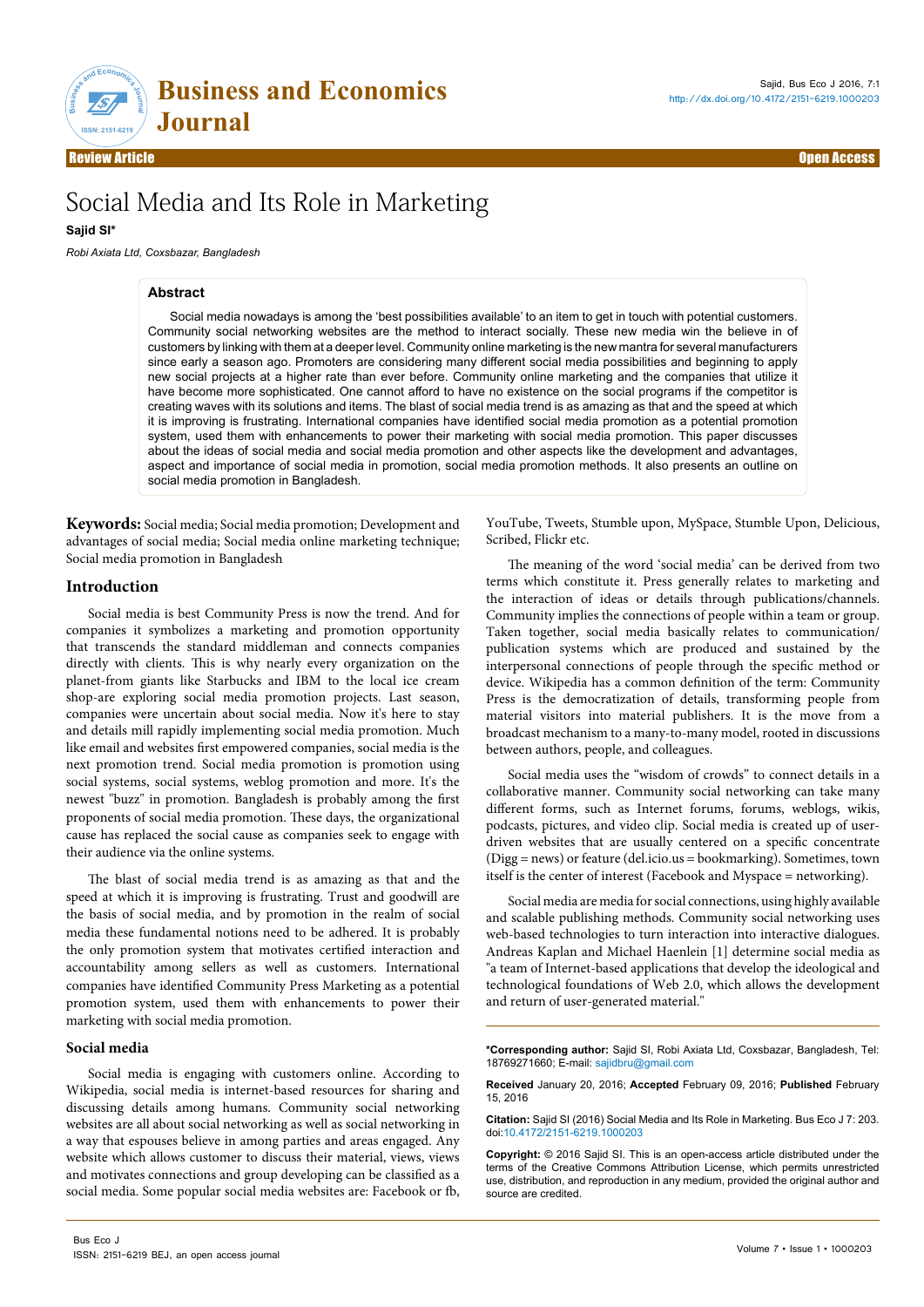

# Social Media and Its Role in Marketing

# **Sajid SI\***

*Robi Axiata Ltd, Coxsbazar, Bangladesh*

#### **Abstract**

Social media nowadays is among the 'best possibilities available' to an item to get in touch with potential customers. Community social networking websites are the method to interact socially. These new media win the believe in of customers by linking with them at a deeper level. Community online marketing is the new mantra for several manufacturers since early a season ago. Promoters are considering many different social media possibilities and beginning to apply new social projects at a higher rate than ever before. Community online marketing and the companies that utilize it have become more sophisticated. One cannot afford to have no existence on the social programs if the competitor is creating waves with its solutions and items. The blast of social media trend is as amazing as that and the speed at which it is improving is frustrating. International companies have identified social media promotion as a potential promotion system, used them with enhancements to power their marketing with social media promotion. This paper discusses about the ideas of social media and social media promotion and other aspects like the development and advantages, aspect and importance of social media in promotion, social media promotion methods. It also presents an outline on social media promotion in Bangladesh.

**Keywords:** Social media; Social media promotion; Development and advantages of social media; Social media online marketing technique; Social media promotion in Bangladesh

#### **Introduction**

Social media is best Community Press is now the trend. And for companies it symbolizes a marketing and promotion opportunity that transcends the standard middleman and connects companies directly with clients. This is why nearly every organization on the planet-from giants like Starbucks and IBM to the local ice cream shop-are exploring social media promotion projects. Last season, companies were uncertain about social media. Now it's here to stay and details mill rapidly implementing social media promotion. Much like email and websites first empowered companies, social media is the next promotion trend. Social media promotion is promotion using social systems, social systems, weblog promotion and more. It's the newest "buzz" in promotion. Bangladesh is probably among the first proponents of social media promotion. These days, the organizational cause has replaced the social cause as companies seek to engage with their audience via the online systems.

The blast of social media trend is as amazing as that and the speed at which it is improving is frustrating. Trust and goodwill are the basis of social media, and by promotion in the realm of social media these fundamental notions need to be adhered. It is probably the only promotion system that motivates certified interaction and accountability among sellers as well as customers. International companies have identified Community Press Marketing as a potential promotion system, used them with enhancements to power their marketing with social media promotion.

## **Social media**

Social media is engaging with customers online. According to Wikipedia, social media is internet-based resources for sharing and discussing details among humans. Community social networking websites are all about social networking as well as social networking in a way that espouses believe in among parties and areas engaged. Any website which allows customer to discuss their material, views, views and motivates connections and group developing can be classified as a social media. Some popular social media websites are: Facebook or fb,

YouTube, Tweets, Stumble upon, MySpace, Stumble Upon, Delicious, Scribed, Flickr etc.

The meaning of the word 'social media' can be derived from two terms which constitute it. Press generally relates to marketing and the interaction of ideas or details through publications/channels. Community implies the connections of people within a team or group. Taken together, social media basically relates to communication/ publication systems which are produced and sustained by the interpersonal connections of people through the specific method or device. Wikipedia has a common definition of the term: Community Press is the democratization of details, transforming people from material visitors into material publishers. It is the move from a broadcast mechanism to a many-to-many model, rooted in discussions between authors, people, and colleagues.

Social media uses the "wisdom of crowds" to connect details in a collaborative manner. Community social networking can take many different forms, such as Internet forums, forums, weblogs, wikis, podcasts, pictures, and video clip. Social media is created up of userdriven websites that are usually centered on a specific concentrate (Digg = news) or feature (del.icio.us = bookmarking). Sometimes, town itself is the center of interest (Facebook and Myspace = networking).

Social media are media for social connections, using highly available and scalable publishing methods. Community social networking uses web-based technologies to turn interaction into interactive dialogues. Andreas Kaplan and Michael Haenlein [1] determine social media as "a team of Internet-based applications that develop the ideological and technological foundations of Web 2.0, which allows the development and return of user-generated material."

**\*Corresponding author:** Sajid SI, Robi Axiata Ltd, Coxsbazar, Bangladesh, Tel: 18769271660; E-mail: [sajidbru@gmail.com](mailto:sajidbru@gmail.com)

**Received** January 20, 2016; **Accepted** February 09, 2016; **Published** February 15, 2016

**Citation:** Sajid SI (2016) Social Media and Its Role in Marketing. Bus Eco J 7: 203. doi:[10.4172/2151-6219.1000203](http://dx.doi.org/10.4172/2151-6219.1000203)

**Copyright:** © 2016 Sajid SI. This is an open-access article distributed under the terms of the Creative Commons Attribution License, which permits unrestricted use, distribution, and reproduction in any medium, provided the original author and source are credited.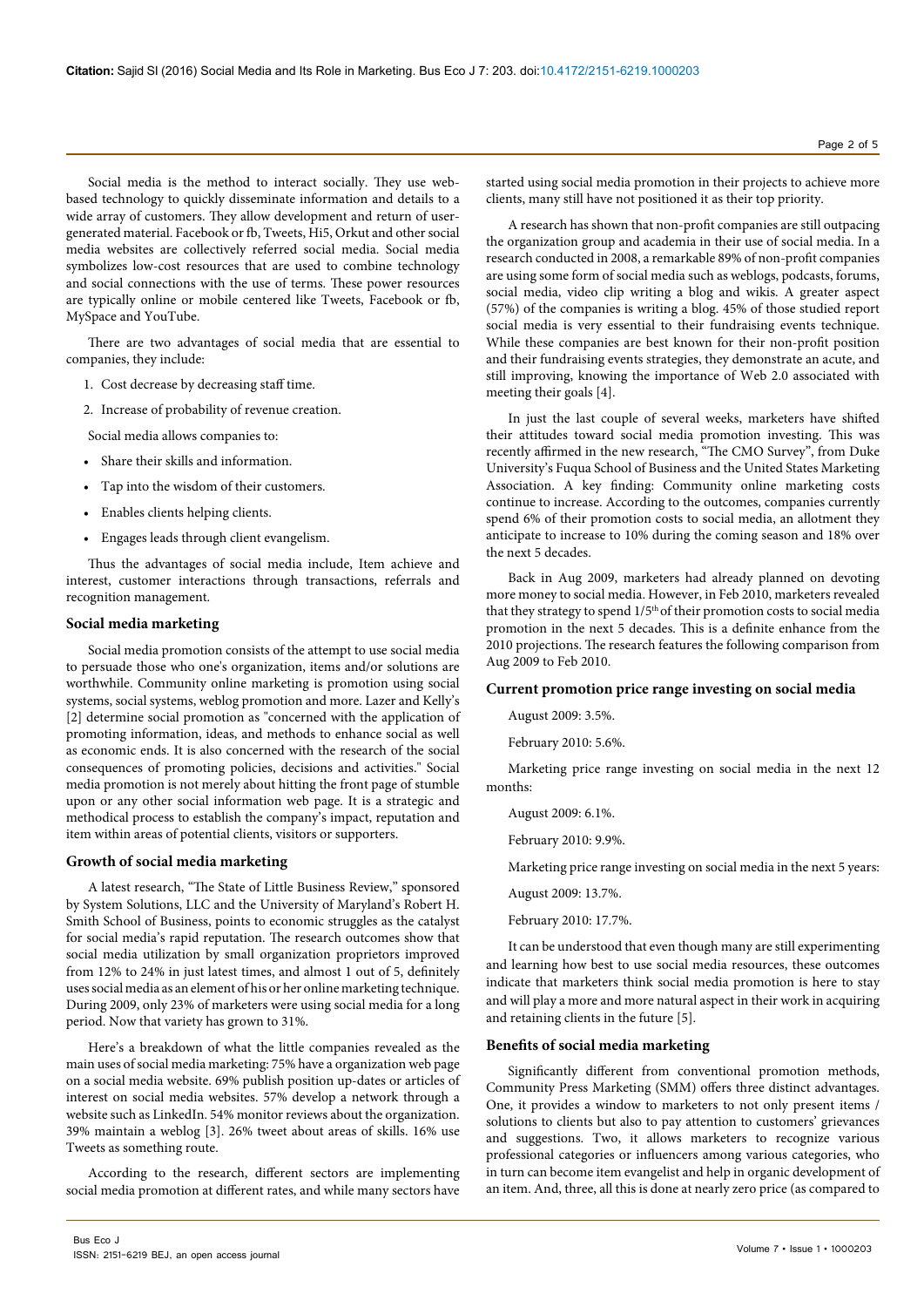Social media is the method to interact socially. They use webbased technology to quickly disseminate information and details to a wide array of customers. They allow development and return of usergenerated material. Facebook or fb, Tweets, Hi5, Orkut and other social media websites are collectively referred social media. Social media symbolizes low-cost resources that are used to combine technology and social connections with the use of terms. These power resources are typically online or mobile centered like Tweets, Facebook or fb, MySpace and YouTube.

There are two advantages of social media that are essential to companies, they include:

- 1. Cost decrease by decreasing staff time.
- 2. Increase of probability of revenue creation.

Social media allows companies to:

- • Share their skills and information.
- Tap into the wisdom of their customers.
- • Enables clients helping clients.
- • Engages leads through client evangelism.

Thus the advantages of social media include, Item achieve and interest, customer interactions through transactions, referrals and recognition management.

#### **Social media marketing**

Social media promotion consists of the attempt to use social media to persuade those who one's organization, items and/or solutions are worthwhile. Community online marketing is promotion using social systems, social systems, weblog promotion and more. Lazer and Kelly's [2] determine social promotion as "concerned with the application of promoting information, ideas, and methods to enhance social as well as economic ends. It is also concerned with the research of the social consequences of promoting policies, decisions and activities." Social media promotion is not merely about hitting the front page of stumble upon or any other social information web page. It is a strategic and methodical process to establish the company's impact, reputation and item within areas of potential clients, visitors or supporters.

## **Growth of social media marketing**

A latest research, "The State of Little Business Review," sponsored by System Solutions, LLC and the University of Maryland's Robert H. Smith School of Business, points to economic struggles as the catalyst for social media's rapid reputation. The research outcomes show that social media utilization by small organization proprietors improved from 12% to 24% in just latest times, and almost 1 out of 5, definitely uses social media as an element of his or her online marketing technique. During 2009, only 23% of marketers were using social media for a long period. Now that variety has grown to 31%.

Here's a breakdown of what the little companies revealed as the main uses of social media marketing: 75% have a organization web page on a social media website. 69% publish position up-dates or articles of interest on social media websites. 57% develop a network through a website such as LinkedIn. 54% monitor reviews about the organization. 39% maintain a weblog [3]. 26% tweet about areas of skills. 16% use Tweets as something route.

According to the research, different sectors are implementing social media promotion at different rates, and while many sectors have Page 2 of 5

started using social media promotion in their projects to achieve more clients, many still have not positioned it as their top priority.

A research has shown that non-profit companies are still outpacing the organization group and academia in their use of social media. In a research conducted in 2008, a remarkable 89% of non-profit companies are using some form of social media such as weblogs, podcasts, forums, social media, video clip writing a blog and wikis. A greater aspect (57%) of the companies is writing a blog. 45% of those studied report social media is very essential to their fundraising events technique. While these companies are best known for their non-profit position and their fundraising events strategies, they demonstrate an acute, and still improving, knowing the importance of Web 2.0 associated with meeting their goals [4].

In just the last couple of several weeks, marketers have shifted their attitudes toward social media promotion investing. This was recently affirmed in the new research, "The CMO Survey", from Duke University's Fuqua School of Business and the United States Marketing Association. A key finding: Community online marketing costs continue to increase. According to the outcomes, companies currently spend 6% of their promotion costs to social media, an allotment they anticipate to increase to 10% during the coming season and 18% over the next 5 decades.

Back in Aug 2009, marketers had already planned on devoting more money to social media. However, in Feb 2010, marketers revealed that they strategy to spend 1/5<sup>th</sup> of their promotion costs to social media promotion in the next 5 decades. This is a definite enhance from the 2010 projections. The research features the following comparison from Aug 2009 to Feb 2010.

#### **Current promotion price range investing on social media**

August 2009: 3.5%.

February 2010: 5.6%.

Marketing price range investing on social media in the next 12 months:

August 2009: 6.1%.

February 2010: 9.9%.

Marketing price range investing on social media in the next 5 years:

August 2009: 13.7%.

February 2010: 17.7%.

It can be understood that even though many are still experimenting and learning how best to use social media resources, these outcomes indicate that marketers think social media promotion is here to stay and will play a more and more natural aspect in their work in acquiring and retaining clients in the future [5].

# **Benefits of social media marketing**

Significantly different from conventional promotion methods, Community Press Marketing (SMM) offers three distinct advantages. One, it provides a window to marketers to not only present items / solutions to clients but also to pay attention to customers' grievances and suggestions. Two, it allows marketers to recognize various professional categories or influencers among various categories, who in turn can become item evangelist and help in organic development of an item. And, three, all this is done at nearly zero price (as compared to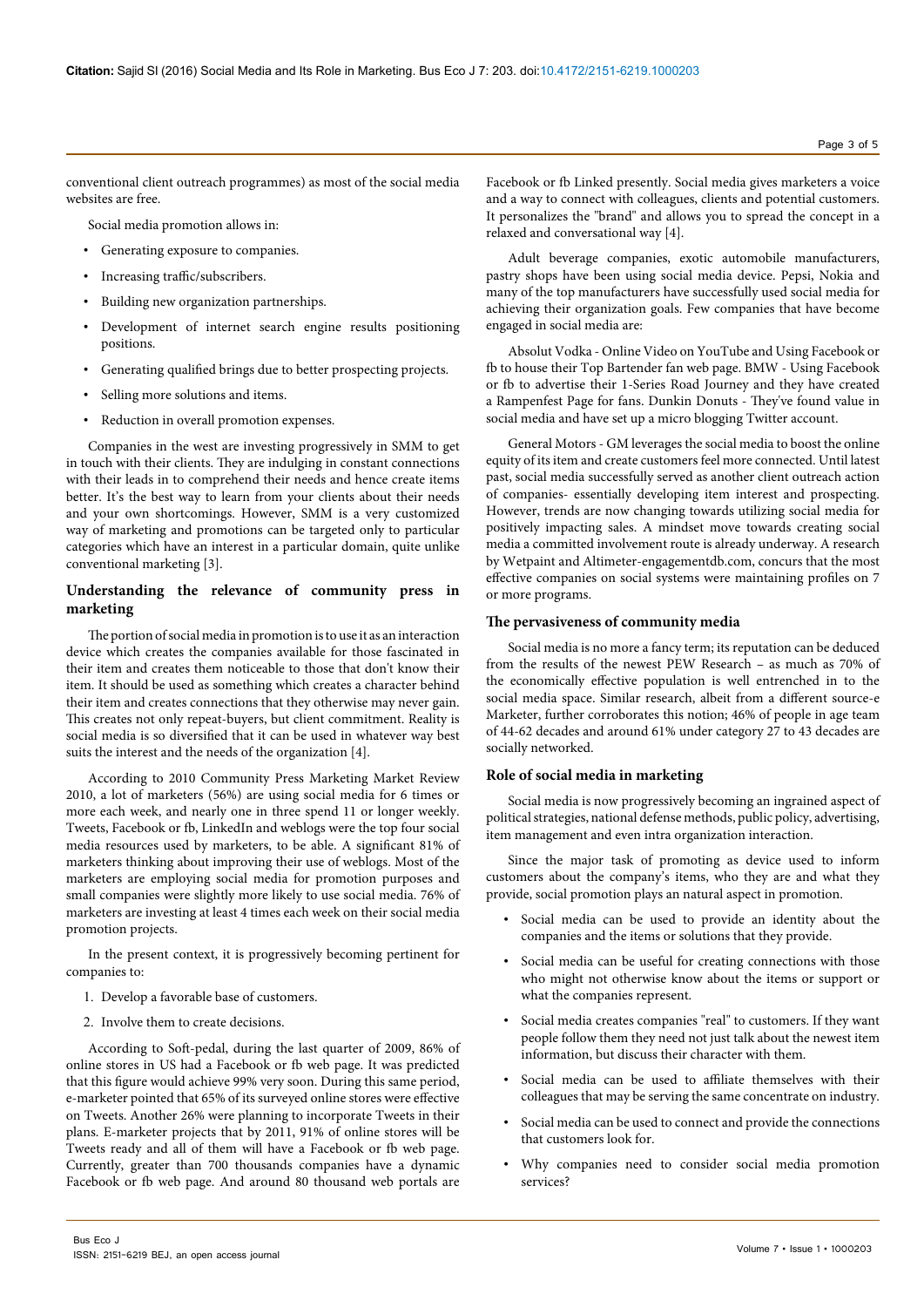conventional client outreach programmes) as most of the social media websites are free.

Social media promotion allows in:

- • Generating exposure to companies.
- • Increasing traffic/subscribers.
- • Building new organization partnerships.
- Development of internet search engine results positioning positions.
- Generating qualified brings due to better prospecting projects.
- Selling more solutions and items.
- Reduction in overall promotion expenses.

Companies in the west are investing progressively in SMM to get in touch with their clients. They are indulging in constant connections with their leads in to comprehend their needs and hence create items better. It's the best way to learn from your clients about their needs and your own shortcomings. However, SMM is a very customized way of marketing and promotions can be targeted only to particular categories which have an interest in a particular domain, quite unlike conventional marketing [3].

# **Understanding the relevance of community press in marketing**

The portion of social media in promotion is to use it as an interaction device which creates the companies available for those fascinated in their item and creates them noticeable to those that don't know their item. It should be used as something which creates a character behind their item and creates connections that they otherwise may never gain. This creates not only repeat-buyers, but client commitment. Reality is social media is so diversified that it can be used in whatever way best suits the interest and the needs of the organization [4].

According to 2010 Community Press Marketing Market Review 2010, a lot of marketers (56%) are using social media for 6 times or more each week, and nearly one in three spend 11 or longer weekly. Tweets, Facebook or fb, LinkedIn and weblogs were the top four social media resources used by marketers, to be able. A significant 81% of marketers thinking about improving their use of weblogs. Most of the marketers are employing social media for promotion purposes and small companies were slightly more likely to use social media. 76% of marketers are investing at least 4 times each week on their social media promotion projects.

In the present context, it is progressively becoming pertinent for companies to:

- 1. Develop a favorable base of customers.
- 2. Involve them to create decisions.

According to Soft-pedal, during the last quarter of 2009, 86% of online stores in US had a Facebook or fb web page. It was predicted that this figure would achieve 99% very soon. During this same period, e-marketer pointed that 65% of its surveyed online stores were effective on Tweets. Another 26% were planning to incorporate Tweets in their plans. E-marketer projects that by 2011, 91% of online stores will be Tweets ready and all of them will have a Facebook or fb web page. Currently, greater than 700 thousands companies have a dynamic Facebook or fb web page. And around 80 thousand web portals are

Facebook or fb Linked presently. Social media gives marketers a voice and a way to connect with colleagues, clients and potential customers. It personalizes the "brand" and allows you to spread the concept in a relaxed and conversational way [4].

Adult beverage companies, exotic automobile manufacturers, pastry shops have been using social media device. Pepsi, Nokia and many of the top manufacturers have successfully used social media for achieving their organization goals. Few companies that have become engaged in social media are:

Absolut Vodka - Online Video on YouTube and Using Facebook or fb to house their Top Bartender fan web page. BMW - Using Facebook or fb to advertise their 1-Series Road Journey and they have created a Rampenfest Page for fans. Dunkin Donuts - They've found value in social media and have set up a micro blogging Twitter account.

General Motors - GM leverages the social media to boost the online equity of its item and create customers feel more connected. Until latest past, social media successfully served as another client outreach action of companies- essentially developing item interest and prospecting. However, trends are now changing towards utilizing social media for positively impacting sales. A mindset move towards creating social media a committed involvement route is already underway. A research by Wetpaint and Altimeter-engagementdb.com, concurs that the most effective companies on social systems were maintaining profiles on 7 or more programs.

#### **The pervasiveness of community media**

Social media is no more a fancy term; its reputation can be deduced from the results of the newest PEW Research – as much as 70% of the economically effective population is well entrenched in to the social media space. Similar research, albeit from a different source-e Marketer, further corroborates this notion; 46% of people in age team of 44-62 decades and around 61% under category 27 to 43 decades are socially networked.

#### **Role of social media in marketing**

Social media is now progressively becoming an ingrained aspect of political strategies, national defense methods, public policy, advertising, item management and even intra organization interaction.

Since the major task of promoting as device used to inform customers about the company's items, who they are and what they provide, social promotion plays an natural aspect in promotion.

- Social media can be used to provide an identity about the companies and the items or solutions that they provide.
- Social media can be useful for creating connections with those who might not otherwise know about the items or support or what the companies represent.
- Social media creates companies "real" to customers. If they want people follow them they need not just talk about the newest item information, but discuss their character with them.
- Social media can be used to affiliate themselves with their colleagues that may be serving the same concentrate on industry.
- Social media can be used to connect and provide the connections that customers look for.
- Why companies need to consider social media promotion services?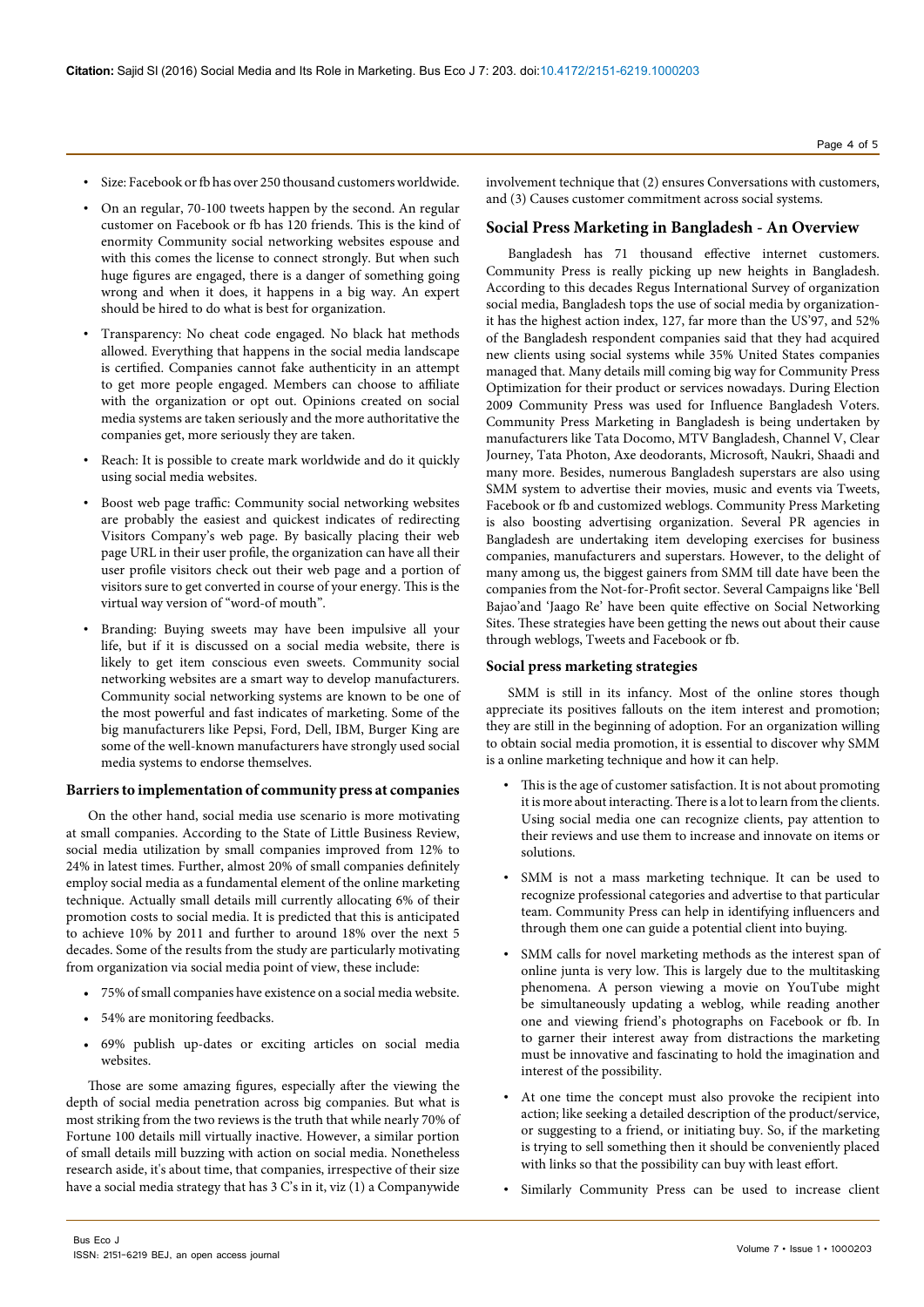- Size: Facebook or fb has over 250 thousand customers worldwide.
- On an regular, 70-100 tweets happen by the second. An regular customer on Facebook or fb has 120 friends. This is the kind of enormity Community social networking websites espouse and with this comes the license to connect strongly. But when such huge figures are engaged, there is a danger of something going wrong and when it does, it happens in a big way. An expert should be hired to do what is best for organization.
- Transparency: No cheat code engaged. No black hat methods allowed. Everything that happens in the social media landscape is certified. Companies cannot fake authenticity in an attempt to get more people engaged. Members can choose to affiliate with the organization or opt out. Opinions created on social media systems are taken seriously and the more authoritative the companies get, more seriously they are taken.
- Reach: It is possible to create mark worldwide and do it quickly using social media websites.
- Boost web page traffic: Community social networking websites are probably the easiest and quickest indicates of redirecting Visitors Company's web page. By basically placing their web page URL in their user profile, the organization can have all their user profile visitors check out their web page and a portion of visitors sure to get converted in course of your energy. This is the virtual way version of "word-of mouth".
- Branding: Buying sweets may have been impulsive all your life, but if it is discussed on a social media website, there is likely to get item conscious even sweets. Community social networking websites are a smart way to develop manufacturers. Community social networking systems are known to be one of the most powerful and fast indicates of marketing. Some of the big manufacturers like Pepsi, Ford, Dell, IBM, Burger King are some of the well-known manufacturers have strongly used social media systems to endorse themselves.

## **Barriers to implementation of community press at companies**

On the other hand, social media use scenario is more motivating at small companies. According to the State of Little Business Review, social media utilization by small companies improved from 12% to 24% in latest times. Further, almost 20% of small companies definitely employ social media as a fundamental element of the online marketing technique. Actually small details mill currently allocating 6% of their promotion costs to social media. It is predicted that this is anticipated to achieve 10% by 2011 and further to around 18% over the next 5 decades. Some of the results from the study are particularly motivating from organization via social media point of view, these include:

- 75% of small companies have existence on a social media website.
- • 54% are monitoring feedbacks.
- • 69% publish up-dates or exciting articles on social media websites.

Those are some amazing figures, especially after the viewing the depth of social media penetration across big companies. But what is most striking from the two reviews is the truth that while nearly 70% of Fortune 100 details mill virtually inactive. However, a similar portion of small details mill buzzing with action on social media. Nonetheless research aside, it's about time, that companies, irrespective of their size have a social media strategy that has  $3 \overline{C}$ 's in it, viz  $(1)$  a Companywide involvement technique that (2) ensures Conversations with customers, and (3) Causes customer commitment across social systems.

# **Social Press Marketing in Bangladesh - An Overview**

Bangladesh has 71 thousand effective internet customers. Community Press is really picking up new heights in Bangladesh. According to this decades Regus International Survey of organization social media, Bangladesh tops the use of social media by organizationit has the highest action index, 127, far more than the US'97, and 52% of the Bangladesh respondent companies said that they had acquired new clients using social systems while 35% United States companies managed that. Many details mill coming big way for Community Press Optimization for their product or services nowadays. During Election 2009 Community Press was used for Influence Bangladesh Voters. Community Press Marketing in Bangladesh is being undertaken by manufacturers like Tata Docomo, MTV Bangladesh, Channel V, Clear Journey, Tata Photon, Axe deodorants, Microsoft, Naukri, Shaadi and many more. Besides, numerous Bangladesh superstars are also using SMM system to advertise their movies, music and events via Tweets, Facebook or fb and customized weblogs. Community Press Marketing is also boosting advertising organization. Several PR agencies in Bangladesh are undertaking item developing exercises for business companies, manufacturers and superstars. However, to the delight of many among us, the biggest gainers from SMM till date have been the companies from the Not-for-Profit sector. Several Campaigns like 'Bell Bajao'and 'Jaago Re' have been quite effective on Social Networking Sites. These strategies have been getting the news out about their cause through weblogs, Tweets and Facebook or fb.

# **Social press marketing strategies**

SMM is still in its infancy. Most of the online stores though appreciate its positives fallouts on the item interest and promotion; they are still in the beginning of adoption. For an organization willing to obtain social media promotion, it is essential to discover why SMM is a online marketing technique and how it can help.

- • This is the age of customer satisfaction. It is not about promoting it is more about interacting. There is a lot to learn from the clients. Using social media one can recognize clients, pay attention to their reviews and use them to increase and innovate on items or solutions.
- • SMM is not a mass marketing technique. It can be used to recognize professional categories and advertise to that particular team. Community Press can help in identifying influencers and through them one can guide a potential client into buying.
- SMM calls for novel marketing methods as the interest span of online junta is very low. This is largely due to the multitasking phenomena. A person viewing a movie on YouTube might be simultaneously updating a weblog, while reading another one and viewing friend's photographs on Facebook or fb. In to garner their interest away from distractions the marketing must be innovative and fascinating to hold the imagination and interest of the possibility.
- At one time the concept must also provoke the recipient into action; like seeking a detailed description of the product/service, or suggesting to a friend, or initiating buy. So, if the marketing is trying to sell something then it should be conveniently placed with links so that the possibility can buy with least effort.
- • Similarly Community Press can be used to increase client